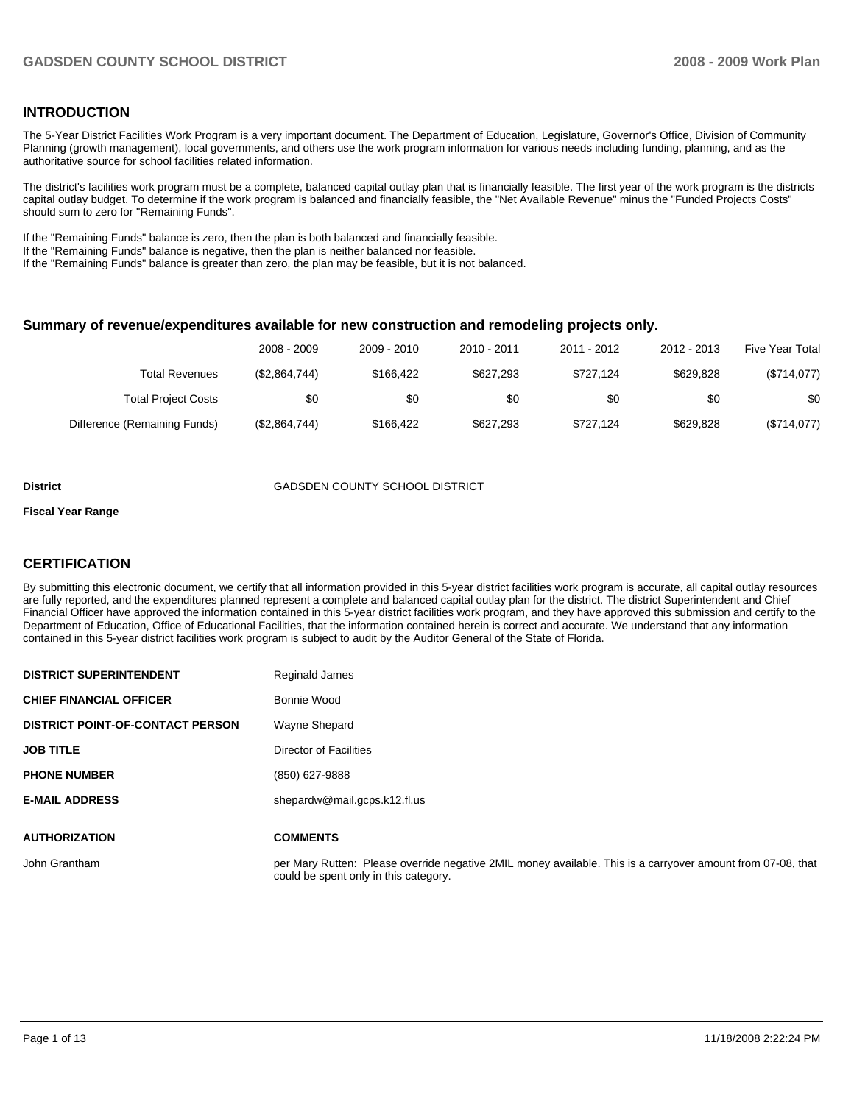# **INTRODUCTION**

The 5-Year District Facilities Work Program is a very important document. The Department of Education, Legislature, Governor's Office, Division of Community Planning (growth management), local governments, and others use the work program information for various needs including funding, planning, and as the authoritative source for school facilities related information.

The district's facilities work program must be a complete, balanced capital outlay plan that is financially feasible. The first year of the work program is the districts capital outlay budget. To determine if the work program is balanced and financially feasible, the "Net Available Revenue" minus the "Funded Projects Costs" should sum to zero for "Remaining Funds".

If the "Remaining Funds" balance is zero, then the plan is both balanced and financially feasible.

If the "Remaining Funds" balance is negative, then the plan is neither balanced nor feasible.

If the "Remaining Funds" balance is greater than zero, the plan may be feasible, but it is not balanced.

#### **Summary of revenue/expenditures available for new construction and remodeling projects only.**

| Five Year Total | 2012 - 2013 | 2011 - 2012 | 2010 - 2011 | 2009 - 2010 | 2008 - 2009   |                              |
|-----------------|-------------|-------------|-------------|-------------|---------------|------------------------------|
| (\$714,077)     | \$629.828   | \$727.124   | \$627,293   | \$166.422   | (\$2,864,744) | Total Revenues               |
| \$0             | \$0         | \$0         | \$0         | \$0         | \$0           | <b>Total Project Costs</b>   |
| (\$714,077)     | \$629.828   | \$727.124   | \$627,293   | \$166.422   | (\$2,864,744) | Difference (Remaining Funds) |

#### **District COUNTY SCHOOL DISTRICT**

#### **Fiscal Year Range**

# **CERTIFICATION**

By submitting this electronic document, we certify that all information provided in this 5-year district facilities work program is accurate, all capital outlay resources are fully reported, and the expenditures planned represent a complete and balanced capital outlay plan for the district. The district Superintendent and Chief Financial Officer have approved the information contained in this 5-year district facilities work program, and they have approved this submission and certify to the Department of Education, Office of Educational Facilities, that the information contained herein is correct and accurate. We understand that any information contained in this 5-year district facilities work program is subject to audit by the Auditor General of the State of Florida.

| <b>DISTRICT SUPERINTENDENT</b>          | Reginald James                                                                                                                                       |
|-----------------------------------------|------------------------------------------------------------------------------------------------------------------------------------------------------|
| <b>CHIEF FINANCIAL OFFICER</b>          | Bonnie Wood                                                                                                                                          |
| <b>DISTRICT POINT-OF-CONTACT PERSON</b> | Wayne Shepard                                                                                                                                        |
| <b>JOB TITLE</b>                        | <b>Director of Facilities</b>                                                                                                                        |
| <b>PHONE NUMBER</b>                     | (850) 627-9888                                                                                                                                       |
| <b>E-MAIL ADDRESS</b>                   | shepardw@mail.gcps.k12.fl.us                                                                                                                         |
| <b>AUTHORIZATION</b>                    | <b>COMMENTS</b>                                                                                                                                      |
|                                         |                                                                                                                                                      |
| John Grantham                           | per Mary Rutten: Please override negative 2MIL money available. This is a carryover amount from 07-08, that<br>could be spent only in this category. |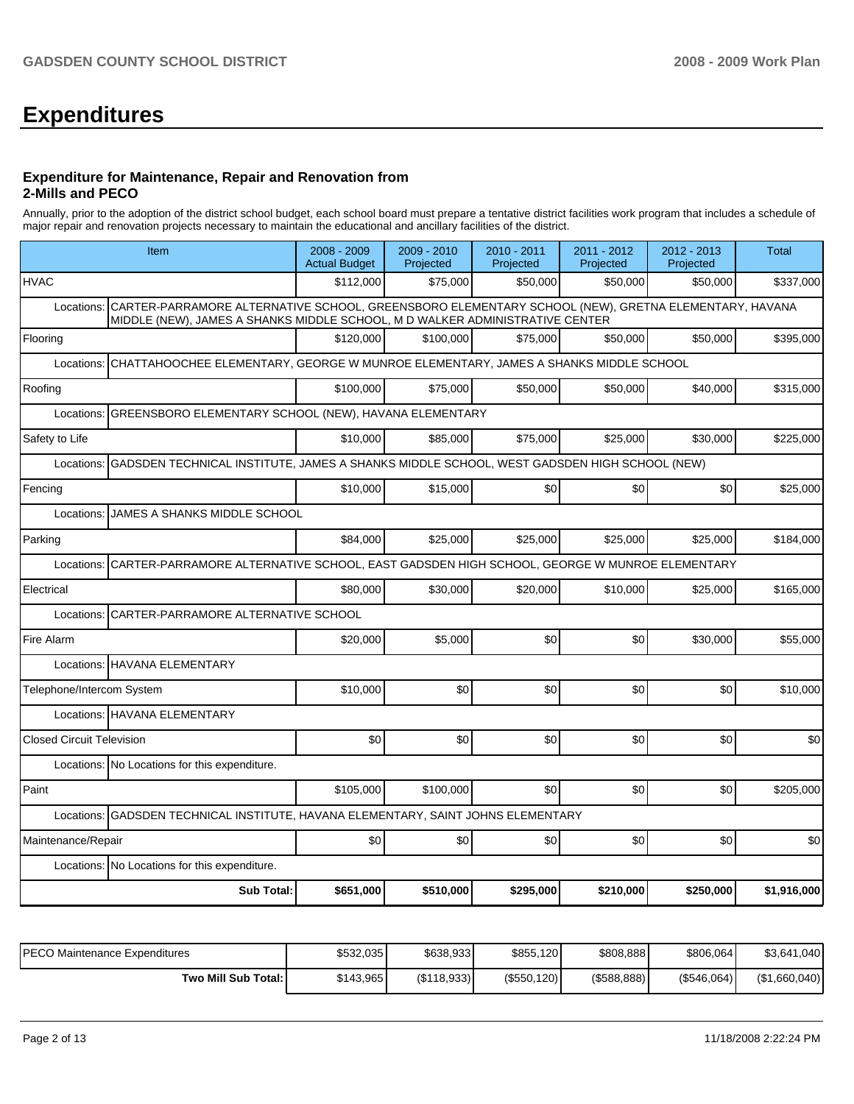# **Expenditures**

#### **Expenditure for Maintenance, Repair and Renovation from 2-Mills and PECO**

Annually, prior to the adoption of the district school budget, each school board must prepare a tentative district facilities work program that includes a schedule of major repair and renovation projects necessary to maintain the educational and ancillary facilities of the district.

| Item                                                                                                                                                                                             | 2008 - 2009<br><b>Actual Budget</b>                                                | 2009 - 2010<br>Projected | 2010 - 2011<br>Projected | 2011 - 2012<br>Projected | 2012 - 2013<br>Projected | <b>Total</b> |  |  |  |  |  |
|--------------------------------------------------------------------------------------------------------------------------------------------------------------------------------------------------|------------------------------------------------------------------------------------|--------------------------|--------------------------|--------------------------|--------------------------|--------------|--|--|--|--|--|
| <b>HVAC</b>                                                                                                                                                                                      | \$112,000                                                                          | \$75,000                 | \$50,000                 | \$50,000                 | \$50,000                 | \$337,000    |  |  |  |  |  |
| CARTER-PARRAMORE ALTERNATIVE SCHOOL, GREENSBORO ELEMENTARY SCHOOL (NEW), GRETNA ELEMENTARY, HAVANA<br>Locations:<br>MIDDLE (NEW), JAMES A SHANKS MIDDLE SCHOOL, M D WALKER ADMINISTRATIVE CENTER |                                                                                    |                          |                          |                          |                          |              |  |  |  |  |  |
| Flooring                                                                                                                                                                                         | \$120,000                                                                          | \$100,000                | \$75,000                 | \$50,000                 | \$50,000                 | \$395,000    |  |  |  |  |  |
| Locations:                                                                                                                                                                                       | CHATTAHOOCHEE ELEMENTARY, GEORGE W MUNROE ELEMENTARY, JAMES A SHANKS MIDDLE SCHOOL |                          |                          |                          |                          |              |  |  |  |  |  |
| Roofing                                                                                                                                                                                          | \$100.000                                                                          | \$75,000                 | \$50,000                 | \$50,000                 | \$40,000                 | \$315,000    |  |  |  |  |  |
| GREENSBORO ELEMENTARY SCHOOL (NEW), HAVANA ELEMENTARY<br>Locations:                                                                                                                              |                                                                                    |                          |                          |                          |                          |              |  |  |  |  |  |
| Safety to Life                                                                                                                                                                                   | \$10,000                                                                           | \$85,000                 | \$75,000                 | \$25,000                 | \$30,000                 | \$225,000    |  |  |  |  |  |
| GADSDEN TECHNICAL INSTITUTE, JAMES A SHANKS MIDDLE SCHOOL, WEST GADSDEN HIGH SCHOOL (NEW)<br>Locations:                                                                                          |                                                                                    |                          |                          |                          |                          |              |  |  |  |  |  |
| Fencing                                                                                                                                                                                          | \$10,000                                                                           | \$15,000                 | \$0                      | \$0                      | \$0                      | \$25,000     |  |  |  |  |  |
| JAMES A SHANKS MIDDLE SCHOOL<br>Locations:                                                                                                                                                       |                                                                                    |                          |                          |                          |                          |              |  |  |  |  |  |
| Parking                                                                                                                                                                                          | \$84,000                                                                           | \$25,000                 | \$25,000                 | \$25,000                 | \$25,000                 | \$184,000    |  |  |  |  |  |
| CARTER-PARRAMORE ALTERNATIVE SCHOOL, EAST GADSDEN HIGH SCHOOL, GEORGE W MUNROE ELEMENTARY<br>Locations:                                                                                          |                                                                                    |                          |                          |                          |                          |              |  |  |  |  |  |
| Electrical                                                                                                                                                                                       | \$80,000                                                                           | \$30,000                 | \$20,000                 | \$10,000                 | \$25,000                 | \$165,000    |  |  |  |  |  |
| CARTER-PARRAMORE ALTERNATIVE SCHOOL<br>Locations:                                                                                                                                                |                                                                                    |                          |                          |                          |                          |              |  |  |  |  |  |
| Fire Alarm                                                                                                                                                                                       | \$20,000                                                                           | \$5,000                  | \$0                      | \$0                      | \$30.000                 | \$55,000     |  |  |  |  |  |
| Locations: HAVANA ELEMENTARY                                                                                                                                                                     |                                                                                    |                          |                          |                          |                          |              |  |  |  |  |  |
| Telephone/Intercom System                                                                                                                                                                        | \$10,000                                                                           | \$0                      | \$0                      | \$0                      | \$0                      | \$10,000     |  |  |  |  |  |
| Locations: HAVANA ELEMENTARY                                                                                                                                                                     |                                                                                    |                          |                          |                          |                          |              |  |  |  |  |  |
| <b>Closed Circuit Television</b>                                                                                                                                                                 | \$0                                                                                | \$0                      | \$0                      | \$0                      | \$0                      | \$0          |  |  |  |  |  |
| Locations: No Locations for this expenditure.                                                                                                                                                    |                                                                                    |                          |                          |                          |                          |              |  |  |  |  |  |
| Paint                                                                                                                                                                                            | \$105,000                                                                          | \$100.000                | \$0                      | \$0                      | \$0                      | \$205,000    |  |  |  |  |  |
| GADSDEN TECHNICAL INSTITUTE, HAVANA ELEMENTARY, SAINT JOHNS ELEMENTARY<br>Locations:                                                                                                             |                                                                                    |                          |                          |                          |                          |              |  |  |  |  |  |
| Maintenance/Repair                                                                                                                                                                               | \$0                                                                                | \$0                      | \$0                      | \$0                      | \$0                      | \$0          |  |  |  |  |  |
| Locations: No Locations for this expenditure.                                                                                                                                                    |                                                                                    |                          |                          |                          |                          |              |  |  |  |  |  |
| <b>Sub Total:</b>                                                                                                                                                                                | \$651,000                                                                          | \$510,000                | \$295,000                | \$210,000                | \$250,000                | \$1,916,000  |  |  |  |  |  |
|                                                                                                                                                                                                  |                                                                                    |                          |                          |                          |                          |              |  |  |  |  |  |

| IPECO Maintenance Expenditures | \$532,035 | \$638,933  | \$855,120      | \$808,888      | \$806,064   | \$3,641,040   |
|--------------------------------|-----------|------------|----------------|----------------|-------------|---------------|
| Two Mill Sub Total:            | \$143.965 | (S118,933) | $(\$550, 120)$ | $($ \$588,888) | (\$546,064) | (\$1,660,040) |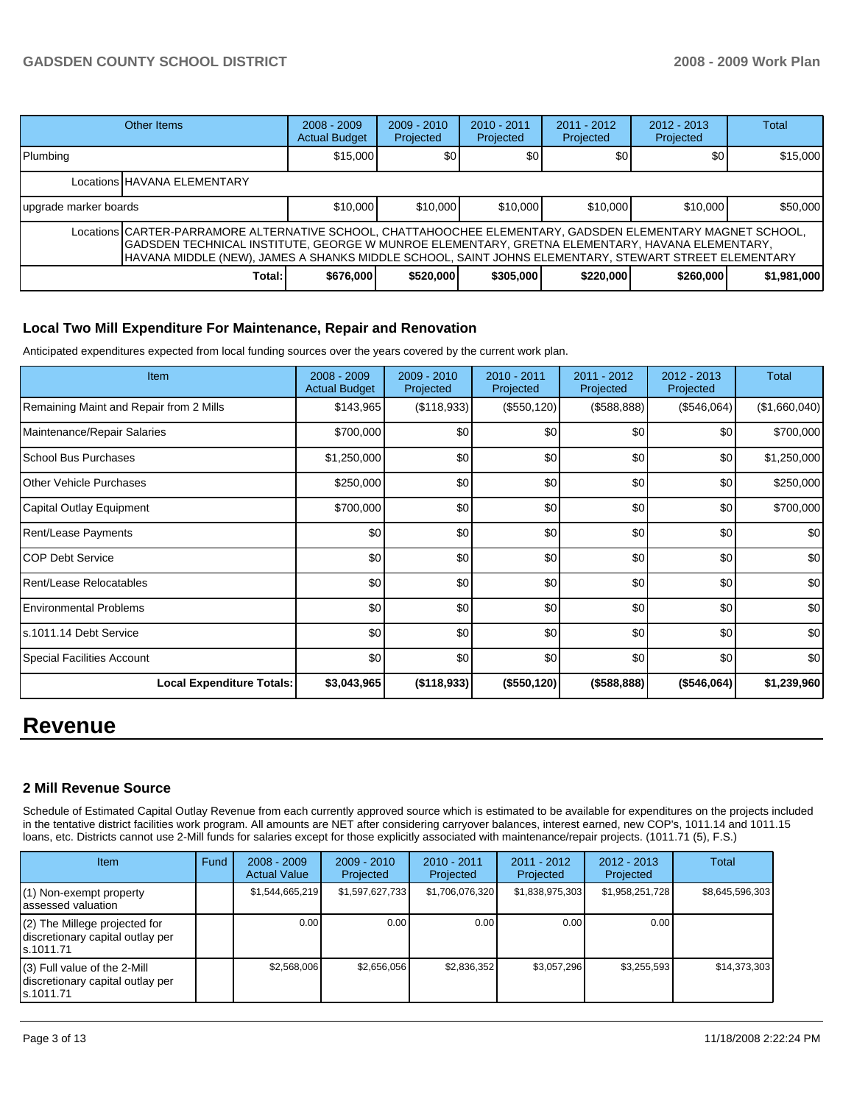|                                                                                                                                                                                                                                                                                                                        | Other Items                 | $2008 - 2009$<br><b>Actual Budget</b> | $2009 - 2010$<br>Projected | $2010 - 2011$<br>Projected | $2011 - 2012$<br>Projected | $2012 - 2013$<br>Projected | <b>Total</b> |  |  |
|------------------------------------------------------------------------------------------------------------------------------------------------------------------------------------------------------------------------------------------------------------------------------------------------------------------------|-----------------------------|---------------------------------------|----------------------------|----------------------------|----------------------------|----------------------------|--------------|--|--|
| Plumbing                                                                                                                                                                                                                                                                                                               |                             | \$15,000                              | \$0                        | <b>SO</b>                  | \$0                        | \$0 <sub>1</sub>           | \$15,000     |  |  |
|                                                                                                                                                                                                                                                                                                                        | Locations HAVANA ELEMENTARY |                                       |                            |                            |                            |                            |              |  |  |
| upgrade marker boards                                                                                                                                                                                                                                                                                                  |                             | \$10,000                              | \$10,000                   | \$10,000                   | \$10,000                   | \$10,000                   | \$50,000     |  |  |
| Locations   CARTER-PARRAMORE ALTERNATIVE SCHOOL, CHATTAHOOCHEE ELEMENTARY, GADSDEN ELEMENTARY MAGNET SCHOOL,<br>GADSDEN TECHNICAL INSTITUTE, GEORGE W MUNROE ELEMENTARY, GRETNA ELEMENTARY, HAVANA ELEMENTARY,<br>HAVANA MIDDLE (NEW), JAMES A SHANKS MIDDLE SCHOOL, SAINT JOHNS ELEMENTARY, STEWART STREET ELEMENTARY |                             |                                       |                            |                            |                            |                            |              |  |  |
|                                                                                                                                                                                                                                                                                                                        | Total:                      | \$676,000                             | \$520,000                  | \$305,000                  | \$220,000                  | \$260,000                  | \$1,981,000  |  |  |

# **Local Two Mill Expenditure For Maintenance, Repair and Renovation**

Anticipated expenditures expected from local funding sources over the years covered by the current work plan.

| <b>Item</b>                             | $2008 - 2009$<br><b>Actual Budget</b> | $2009 - 2010$<br>Projected | 2010 - 2011<br>Projected | 2011 - 2012<br>Projected | $2012 - 2013$<br>Projected | Total            |
|-----------------------------------------|---------------------------------------|----------------------------|--------------------------|--------------------------|----------------------------|------------------|
| Remaining Maint and Repair from 2 Mills | \$143,965                             | (\$118,933)                | (\$550, 120)             | (\$588,888)              | (\$546,064)                | (\$1,660,040)    |
| Maintenance/Repair Salaries             | \$700,000                             | \$0                        | \$0                      | \$0                      | \$0                        | \$700,000        |
| School Bus Purchases                    | \$1,250,000                           | \$0                        | \$0                      | \$0                      | \$0                        | \$1,250,000      |
| <b>Other Vehicle Purchases</b>          | \$250,000                             | \$0                        | \$0                      | \$0                      | \$0                        | \$250,000        |
| Capital Outlay Equipment                | \$700,000                             | \$0                        | \$0                      | \$0                      | \$0                        | \$700,000        |
| Rent/Lease Payments                     | \$0                                   | \$0                        | \$0                      | \$0                      | \$0                        | \$0              |
| ICOP Debt Service                       | \$0                                   | \$0                        | \$0                      | \$0                      | \$0                        | \$0              |
| Rent/Lease Relocatables                 | \$0                                   | \$0                        | \$0                      | \$0                      | \$0                        | \$0              |
| <b>Environmental Problems</b>           | \$0                                   | \$0                        | \$0                      | \$0                      | \$0                        | \$0              |
| ls.1011.14 Debt Service                 | \$0                                   | \$0                        | \$0                      | \$0                      | \$0                        | \$0              |
| <b>Special Facilities Account</b>       | \$0 <sub>1</sub>                      | \$0                        | \$0                      | \$0                      | \$0                        | \$0 <sub>1</sub> |
| <b>Local Expenditure Totals:</b>        | \$3,043,965                           | (\$118,933)                | (\$550, 120)             | (\$588,888)              | (\$546,064)                | \$1,239,960      |

# **Revenue**

# **2 Mill Revenue Source**

Schedule of Estimated Capital Outlay Revenue from each currently approved source which is estimated to be available for expenditures on the projects included in the tentative district facilities work program. All amounts are NET after considering carryover balances, interest earned, new COP's, 1011.14 and 1011.15 loans, etc. Districts cannot use 2-Mill funds for salaries except for those explicitly associated with maintenance/repair projects. (1011.71 (5), F.S.)

| <b>Item</b>                                                                       | Fund | $2008 - 2009$<br><b>Actual Value</b> | $2009 - 2010$<br>Projected | $2010 - 2011$<br>Projected | $2011 - 2012$<br>Projected | $2012 - 2013$<br>Projected | Total           |
|-----------------------------------------------------------------------------------|------|--------------------------------------|----------------------------|----------------------------|----------------------------|----------------------------|-----------------|
| (1) Non-exempt property<br>assessed valuation                                     |      | \$1,544,665,219                      | \$1,597,627,733            | \$1,706,076,320            | \$1,838,975,303            | \$1,958,251,728            | \$8,645,596,303 |
| $(2)$ The Millege projected for<br>discretionary capital outlay per<br>ls.1011.71 |      | 0.00                                 | 0.00                       | 0.00                       | 0.00                       | 0.00                       |                 |
| $(3)$ Full value of the 2-Mill<br>discretionary capital outlay per<br>ls.1011.71  |      | \$2,568,006                          | \$2,656,056                | \$2,836,352                | \$3,057,296                | \$3,255,593                | \$14,373,303    |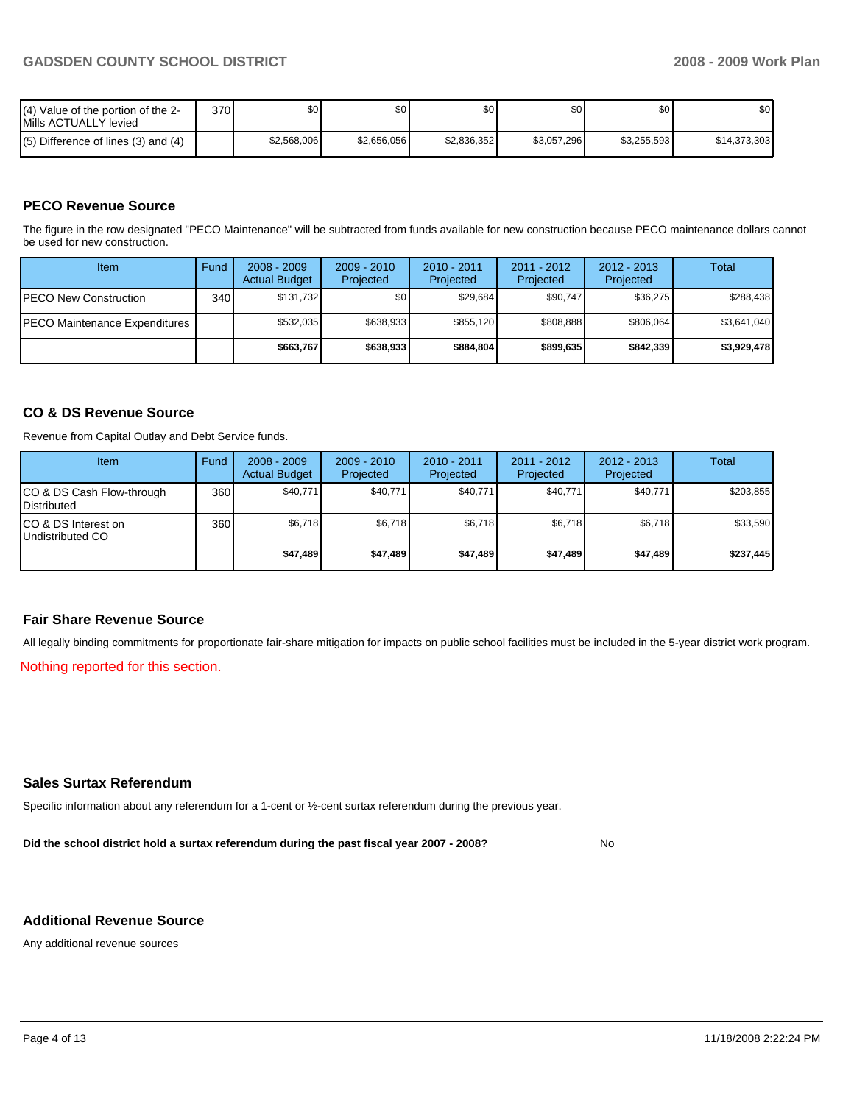| (4) Value of the portion of the 2-<br>Mills ACTUALLY levied | 370 | \$٥Ι        | υU          | \$0         | \$0         | \$0         | \$0          |
|-------------------------------------------------------------|-----|-------------|-------------|-------------|-------------|-------------|--------------|
| $(5)$ Difference of lines (3) and (4)                       |     | \$2,568,006 | \$2.656.056 | \$2.836.352 | \$3,057,296 | \$3.255.593 | \$14,373,303 |

# **PECO Revenue Source**

The figure in the row designated "PECO Maintenance" will be subtracted from funds available for new construction because PECO maintenance dollars cannot be used for new construction.

| Item                                  | Fund             | $2008 - 2009$<br><b>Actual Budget</b> | $2009 - 2010$<br>Projected | $2010 - 2011$<br>Projected | 2011 - 2012<br>Projected | $2012 - 2013$<br>Projected | Total       |
|---------------------------------------|------------------|---------------------------------------|----------------------------|----------------------------|--------------------------|----------------------------|-------------|
| <b>IPECO New Construction</b>         | 340 <sup>1</sup> | \$131,732                             | \$٥Ι                       | \$29.684                   | \$90,747                 | \$36,275                   | \$288,438   |
| <b>IPECO Maintenance Expenditures</b> |                  | \$532,035                             | \$638,933                  | \$855.120                  | \$808.888                | \$806.064                  | \$3,641,040 |
|                                       |                  | \$663,767                             | \$638,933                  | \$884.804                  | \$899.635                | \$842,339                  | \$3,929,478 |

# **CO & DS Revenue Source**

Revenue from Capital Outlay and Debt Service funds.

| Item                                            | Fund             | $2008 - 2009$<br><b>Actual Budget</b> | $2009 - 2010$<br>Projected | $2010 - 2011$<br>Projected | $2011 - 2012$<br>Projected | $2012 - 2013$<br>Projected | Total     |
|-------------------------------------------------|------------------|---------------------------------------|----------------------------|----------------------------|----------------------------|----------------------------|-----------|
| CO & DS Cash Flow-through<br><b>Distributed</b> | 360 <sup>1</sup> | \$40,771                              | \$40,771                   | \$40,771                   | \$40,771                   | \$40,771                   | \$203,855 |
| CO & DS Interest on<br>Undistributed CO         | 360              | \$6.718                               | \$6,718                    | \$6,718                    | \$6.718                    | \$6,718                    | \$33,590  |
|                                                 |                  | \$47.489                              | \$47.489                   | \$47.489                   | \$47.489                   | \$47.489                   | \$237,445 |

#### **Fair Share Revenue Source**

All legally binding commitments for proportionate fair-share mitigation for impacts on public school facilities must be included in the 5-year district work program.

Nothing reported for this section.

# **Sales Surtax Referendum**

Specific information about any referendum for a 1-cent or ½-cent surtax referendum during the previous year.

**Did the school district hold a surtax referendum during the past fiscal year 2007 - 2008?** No

# **Additional Revenue Source**

Any additional revenue sources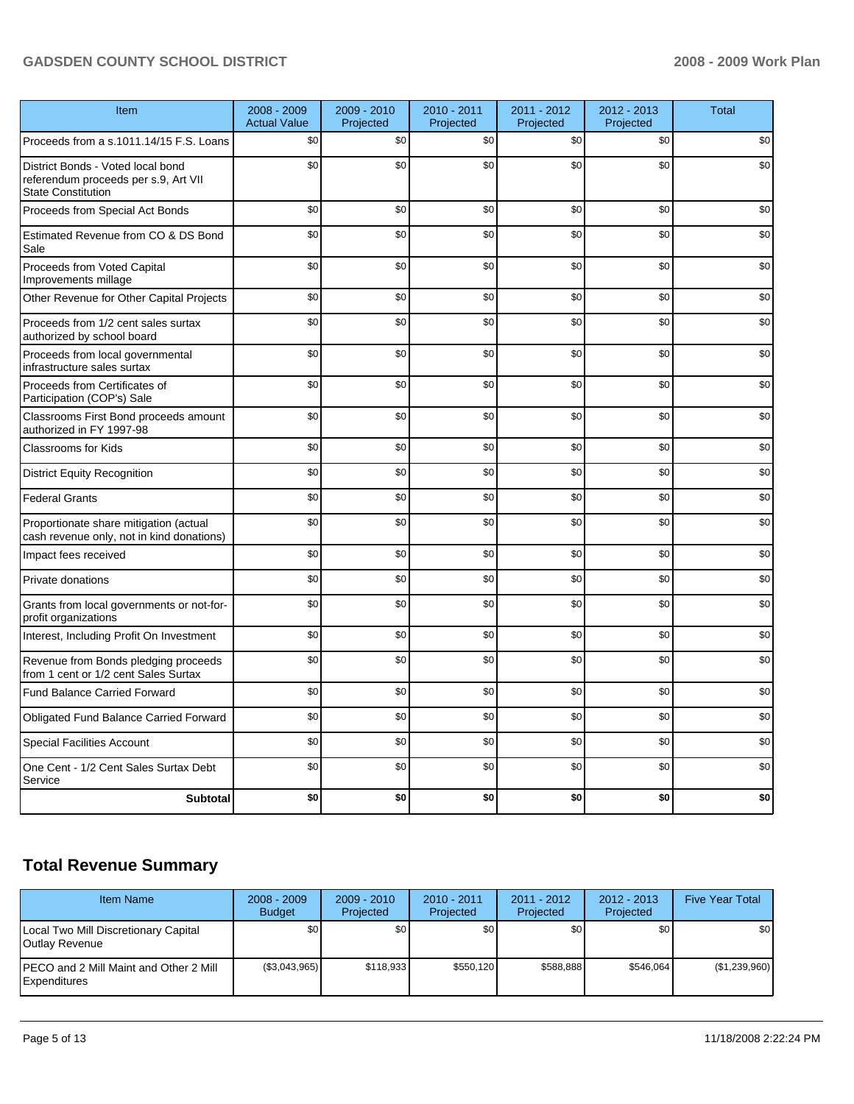| Item                                                                                                   | 2008 - 2009<br><b>Actual Value</b> | $2009 - 2010$<br>Projected | 2010 - 2011<br>Projected | 2011 - 2012<br>Projected | 2012 - 2013<br>Projected | <b>Total</b> |
|--------------------------------------------------------------------------------------------------------|------------------------------------|----------------------------|--------------------------|--------------------------|--------------------------|--------------|
| Proceeds from a s.1011.14/15 F.S. Loans                                                                | \$0                                | \$0                        | \$0                      | \$0                      | \$0                      | \$0          |
| District Bonds - Voted local bond<br>referendum proceeds per s.9, Art VII<br><b>State Constitution</b> | \$0                                | \$0                        | \$0                      | \$0                      | \$0                      | \$0          |
| Proceeds from Special Act Bonds                                                                        | \$0                                | \$0                        | \$0                      | \$0                      | \$0                      | \$0          |
| Estimated Revenue from CO & DS Bond<br>Sale                                                            | \$0                                | \$0                        | \$0                      | \$0                      | \$0                      | \$0          |
| Proceeds from Voted Capital<br>Improvements millage                                                    | \$0                                | \$0                        | \$0                      | \$0                      | \$0                      | \$0          |
| Other Revenue for Other Capital Projects                                                               | \$0                                | \$0                        | \$0                      | \$0                      | \$0                      | \$0          |
| Proceeds from 1/2 cent sales surtax<br>authorized by school board                                      | \$0                                | \$0                        | \$0                      | \$0                      | \$0                      | \$0          |
| Proceeds from local governmental<br>infrastructure sales surtax                                        | \$0                                | \$0                        | \$0                      | \$0                      | \$0                      | \$0          |
| Proceeds from Certificates of<br>Participation (COP's) Sale                                            | \$0                                | \$0                        | \$0                      | \$0                      | \$0                      | \$0          |
| Classrooms First Bond proceeds amount<br>authorized in FY 1997-98                                      | \$0                                | \$0                        | \$0                      | \$0                      | \$0                      | \$0          |
| <b>Classrooms for Kids</b>                                                                             | \$0                                | \$0                        | \$0                      | \$0                      | \$0                      | \$0          |
| <b>District Equity Recognition</b>                                                                     | \$0                                | \$0                        | \$0                      | \$0                      | \$0                      | \$0          |
| <b>Federal Grants</b>                                                                                  | \$0                                | \$0                        | \$0                      | \$0                      | \$0                      | \$0          |
| Proportionate share mitigation (actual<br>cash revenue only, not in kind donations)                    | \$0                                | \$0                        | \$0                      | \$0                      | \$0                      | \$0          |
| Impact fees received                                                                                   | \$0                                | \$0                        | \$0                      | \$0                      | \$0                      | \$0          |
| Private donations                                                                                      | \$0                                | \$0                        | \$0                      | \$0                      | \$0                      | \$0          |
| Grants from local governments or not-for-<br>profit organizations                                      | \$0                                | \$0                        | \$0                      | \$0                      | \$0                      | \$0          |
| Interest, Including Profit On Investment                                                               | \$0                                | \$0                        | \$0                      | \$0                      | \$0                      | \$0          |
| Revenue from Bonds pledging proceeds<br>from 1 cent or 1/2 cent Sales Surtax                           | \$0                                | \$0                        | \$0                      | \$0                      | \$0                      | \$0          |
| <b>Fund Balance Carried Forward</b>                                                                    | \$0                                | \$0                        | \$0                      | \$0                      | \$0                      | \$0          |
| <b>Obligated Fund Balance Carried Forward</b>                                                          | \$0                                | \$0                        | \$0                      | \$0                      | \$0                      | \$0          |
| <b>Special Facilities Account</b>                                                                      | \$0                                | \$0                        | \$0                      | \$0                      | \$0                      | \$0          |
| One Cent - 1/2 Cent Sales Surtax Debt<br>Service                                                       | \$0                                | \$0                        | \$0                      | \$0                      | \$0                      | \$0          |
| <b>Subtotal</b>                                                                                        | \$0                                | \$0                        | \$0                      | \$0                      | \$0                      | \$0          |

# **Total Revenue Summary**

| <b>Item Name</b>                                                       | $2008 - 2009$<br><b>Budget</b> | $2009 - 2010$<br>Projected | $2010 - 2011$<br>Projected | 2011 - 2012<br>Projected | $2012 - 2013$<br>Projected | <b>Five Year Total</b> |
|------------------------------------------------------------------------|--------------------------------|----------------------------|----------------------------|--------------------------|----------------------------|------------------------|
| Local Two Mill Discretionary Capital<br>Outlay Revenue                 | SO I                           | \$0                        | \$0                        | \$0                      | \$0                        | \$0                    |
| <b>IPECO and 2 Mill Maint and Other 2 Mill</b><br><b>IExpenditures</b> | (\$3,043,965)                  | \$118,933                  | \$550.120                  | \$588.888                | \$546.064                  | (\$1,239,960)          |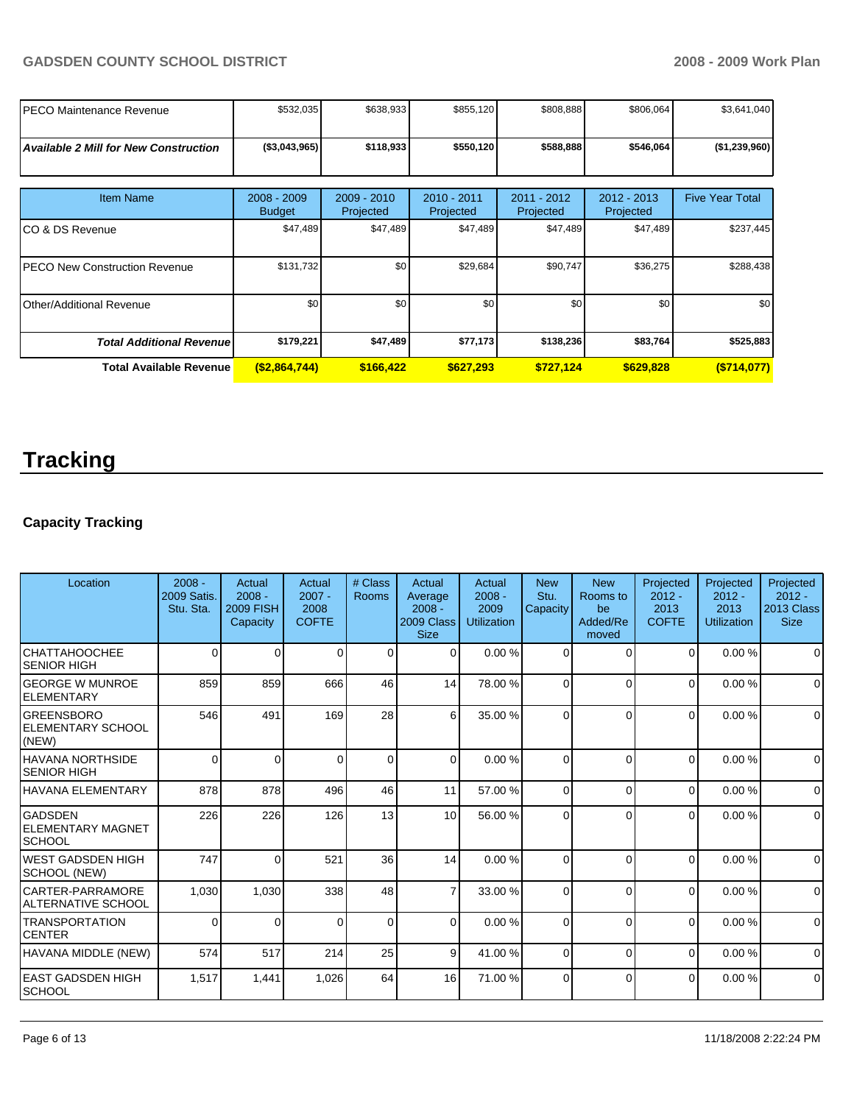| PECO Maintenance Revenue                     | \$532,035                      | \$638,933                  | \$855,120                | \$808,888                | \$806,064                  | \$3,641,040            |
|----------------------------------------------|--------------------------------|----------------------------|--------------------------|--------------------------|----------------------------|------------------------|
| <b>Available 2 Mill for New Construction</b> | (\$3,043,965)                  | \$118,933                  | \$550,120                | \$588,888                | \$546,064                  | (\$1,239,960)          |
| <b>Item Name</b>                             | $2008 - 2009$<br><b>Budget</b> | $2009 - 2010$<br>Projected | 2010 - 2011<br>Projected | 2011 - 2012<br>Projected | $2012 - 2013$<br>Projected | <b>Five Year Total</b> |
| ICO & DS Revenue                             | \$47,489                       | \$47,489                   | \$47,489                 | \$47,489                 | \$47,489                   | \$237,445              |
| <b>IPECO New Construction Revenue</b>        | \$131,732                      | \$0                        | \$29,684                 | \$90,747                 | \$36,275                   | \$288,438              |
| <b>I</b> Other/Additional Revenue            | \$0                            | \$0 <sub>1</sub>           | \$0                      | \$0                      | \$0                        | \$0                    |
| <b>Total Additional Revenue</b>              | \$179,221                      | \$47,489                   | \$77,173                 | \$138,236                | \$83,764                   | \$525,883              |
| Total Available Revenue                      | ( \$2,864,744)                 | \$166,422                  | \$627,293                | \$727,124                | \$629,828                  | (S714,077)             |

# **Tracking**

# **Capacity Tracking**

| Location                                               | $2008 -$<br><b>2009 Satis.</b><br>Stu. Sta. | Actual<br>$2008 -$<br><b>2009 FISH</b><br>Capacity | Actual<br>$2007 -$<br>2008<br><b>COFTE</b> | # Class<br>Rooms | <b>Actual</b><br>Average<br>$2008 -$<br>2009 Class<br><b>Size</b> | Actual<br>$2008 -$<br>2009<br>Utilization | <b>New</b><br>Stu.<br>Capacity | <b>New</b><br>Rooms to<br>be<br>Added/Re<br>moved | Projected<br>$2012 -$<br>2013<br><b>COFTE</b> | Projected<br>$2012 -$<br>2013<br><b>Utilization</b> | Projected<br>$2012 -$<br>2013 Class<br><b>Size</b> |
|--------------------------------------------------------|---------------------------------------------|----------------------------------------------------|--------------------------------------------|------------------|-------------------------------------------------------------------|-------------------------------------------|--------------------------------|---------------------------------------------------|-----------------------------------------------|-----------------------------------------------------|----------------------------------------------------|
| <b>CHATTAHOOCHEE</b><br><b>SENIOR HIGH</b>             | 0                                           | 0                                                  | 0                                          | $\Omega$         | $\Omega$                                                          | 0.00%                                     | $\Omega$                       | $\Omega$                                          | $\Omega$                                      | 0.00%                                               | $\Omega$                                           |
| <b>IGEORGE W MUNROE</b><br><b>IELEMENTARY</b>          | 859                                         | 859                                                | 666                                        | 46               | 14                                                                | 78.00 %                                   | $\Omega$                       | $\Omega$                                          | $\Omega$                                      | 0.00%                                               | $\mathbf 0$                                        |
| lgreensboro<br><b>ELEMENTARY SCHOOL</b><br>(NEW)       | 546                                         | 491                                                | 169                                        | 28               | 6                                                                 | 35.00 %                                   | 0                              | $\Omega$                                          | $\Omega$                                      | 0.00%                                               | $\mathbf 0$                                        |
| <b>HAVANA NORTHSIDE</b><br><b>SENIOR HIGH</b>          | $\Omega$                                    | $\Omega$                                           | 0                                          | $\Omega$         | $\Omega$                                                          | 0.00%                                     | $\Omega$                       | $\Omega$                                          | $\Omega$                                      | 0.00%                                               | $\Omega$                                           |
| <b>HAVANA ELEMENTARY</b>                               | 878                                         | 878                                                | 496                                        | 46               | 11                                                                | 57.00 %                                   | $\Omega$                       | $\Omega$                                          | $\Omega$                                      | 0.00%                                               | $\Omega$                                           |
| <b>GADSDEN</b><br><b>IELEMENTARY MAGNET</b><br> SCHOOL | 226                                         | 226                                                | 126                                        | 13               | 10                                                                | 56.00 %                                   | $\Omega$                       | $\Omega$                                          | 0                                             | 0.00%                                               | $\mathbf 0$                                        |
| IWEST GADSDEN HIGH<br>SCHOOL (NEW)                     | 747                                         | $\Omega$                                           | 521                                        | 36               | 14                                                                | 0.00%                                     | $\Omega$                       | $\Omega$                                          | $\Omega$                                      | 0.00%                                               | $\Omega$                                           |
| ICARTER-PARRAMORE<br>IALTERNATIVE SCHOOL               | 1,030                                       | 1,030                                              | 338                                        | 48               | 7                                                                 | 33.00 %                                   | $\Omega$                       | $\Omega$                                          | $\Omega$                                      | 0.00%                                               | $\Omega$                                           |
| ITRANSPORTATION<br>ICENTER                             | $\Omega$                                    | $\Omega$                                           | $\Omega$                                   | $\Omega$         | $\Omega$                                                          | 0.00%                                     | $\Omega$                       | $\Omega$                                          | $\Omega$                                      | 0.00%                                               | $\Omega$                                           |
| HAVANA MIDDLE (NEW)                                    | 574                                         | 517                                                | 214                                        | 25               | 9                                                                 | 41.00 %                                   | $\Omega$                       | $\Omega$                                          | $\Omega$                                      | 0.00%                                               | $\mathbf 0$                                        |
| IEAST GADSDEN HIGH<br>Ischool                          | 1,517                                       | 1,441                                              | 1,026                                      | 64               | 16                                                                | 71.00 %                                   | $\Omega$                       | $\Omega$                                          | $\Omega$                                      | 0.00%                                               | $\Omega$                                           |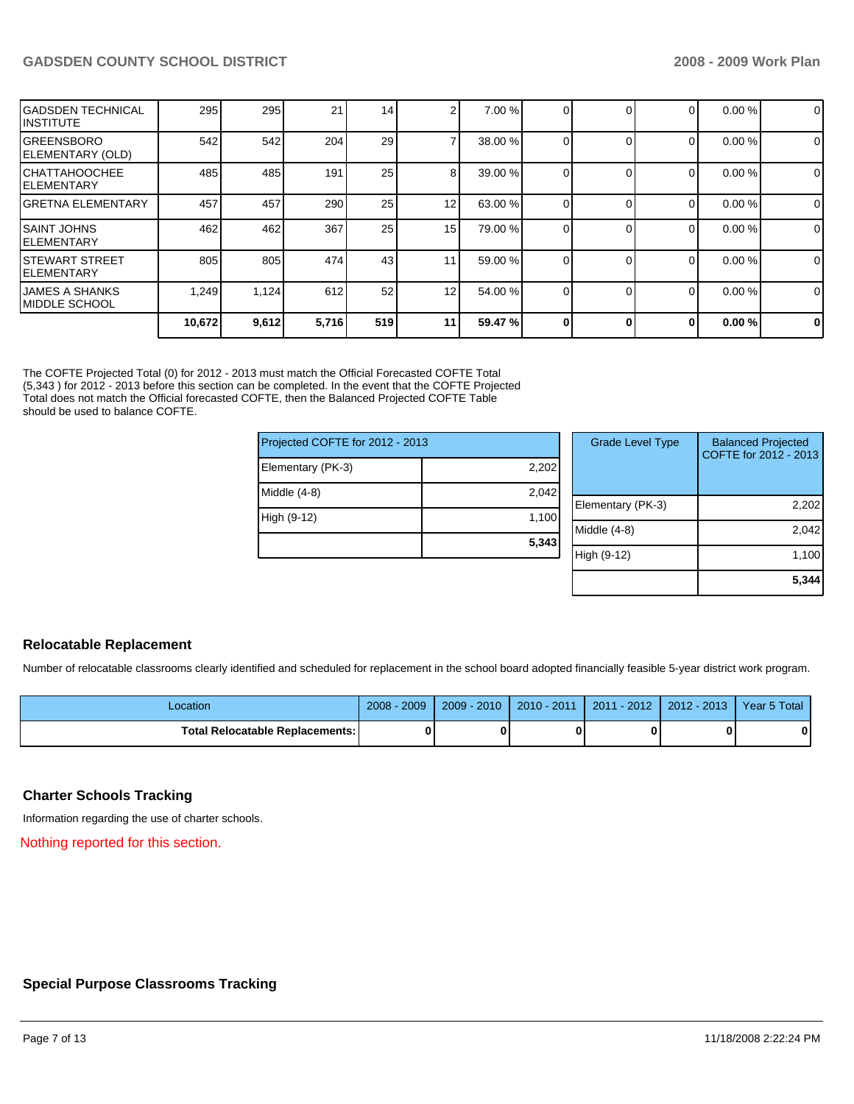| IGADSDEN TECHNICAL<br>IINSTITUTE   | 295    | 295   | 21    | 14  | $\sim$          | 7.00 %  | $\Omega$ | 0        | 0.00% | $\mathbf 0$ |
|------------------------------------|--------|-------|-------|-----|-----------------|---------|----------|----------|-------|-------------|
| IGREENSBORO<br>ELEMENTARY (OLD)    | 542    | 542   | 204   | 29  |                 | 38.00 % |          | 0        | 0.00% | 0           |
| ICHATTAHOOCHEE<br>IELEMENTARY      | 485    | 485   | 191   | 25  | 8               | 39.00 % |          | 0        | 0.00% | 0           |
| lGRETNA ELEMENTARY                 | 457    | 457   | 290   | 25  | 12 <sub>1</sub> | 63.00 % | $\Omega$ | 0        | 0.00% | 0           |
| <b>ISAINT JOHNS</b><br>IELEMENTARY | 462    | 462   | 367   | 25  | 15              | 79.00 % | $\Omega$ | $\Omega$ | 0.00% | $\mathbf 0$ |
| ISTEWART STREET<br>IELEMENTARY     | 805    | 805   | 474   | 43  | 11              | 59.00 % | $\Omega$ | 0        | 0.00% | 0           |
| IJAMES A SHANKS<br>IMIDDLE SCHOOL  | 1,249  | 1,124 | 612   | 52  | 12 <sub>1</sub> | 54.00 % | $\Omega$ | $\Omega$ | 0.00% | 0           |
|                                    | 10,672 | 9,612 | 5,716 | 519 | 11              | 59.47 % | 0        | 0        | 0.00% | $\mathbf 0$ |

The COFTE Projected Total (0) for 2012 - 2013 must match the Official Forecasted COFTE Total (5,343 ) for 2012 - 2013 before this section can be completed. In the event that the COFTE Projected Total does not match the Official forecasted COFTE, then the Balanced Projected COFTE Table should be used to balance COFTE.

| Projected COFTE for 2012 - 2013 | Grade Level |                 |  |
|---------------------------------|-------------|-----------------|--|
| Elementary (PK-3)               | 2,202       |                 |  |
| Middle (4-8)                    | 2,042       | Elementary (PK- |  |
| High (9-12)                     | 1,100       | Middle (4-8)    |  |
|                                 | 5,343       | $(9-12)$        |  |

| $\overline{2}$<br>$\overline{2}$ | <b>Grade Level Type</b> | <b>Balanced Projected</b><br>COFTE for 2012 - 2013 |
|----------------------------------|-------------------------|----------------------------------------------------|
| Ć                                | Elementary (PK-3)       | 2,202                                              |
| 3                                | Middle (4-8)            | 2,042                                              |
|                                  | High (9-12)             | 1,100                                              |
|                                  |                         | 5,344                                              |

# **Relocatable Replacement**

Number of relocatable classrooms clearly identified and scheduled for replacement in the school board adopted financially feasible 5-year district work program.

| Location                               | 2008<br>2009 | $-2010$<br>$2009 -$ | 2010 - 2011 | $-2012$<br>2011 | $2012 - 2013$ | Year 5 Total |
|----------------------------------------|--------------|---------------------|-------------|-----------------|---------------|--------------|
| <b>Total Relocatable Replacements:</b> | 0            |                     |             |                 |               | 0            |

# **Charter Schools Tracking**

Information regarding the use of charter schools.

Nothing reported for this section.

# **Special Purpose Classrooms Tracking**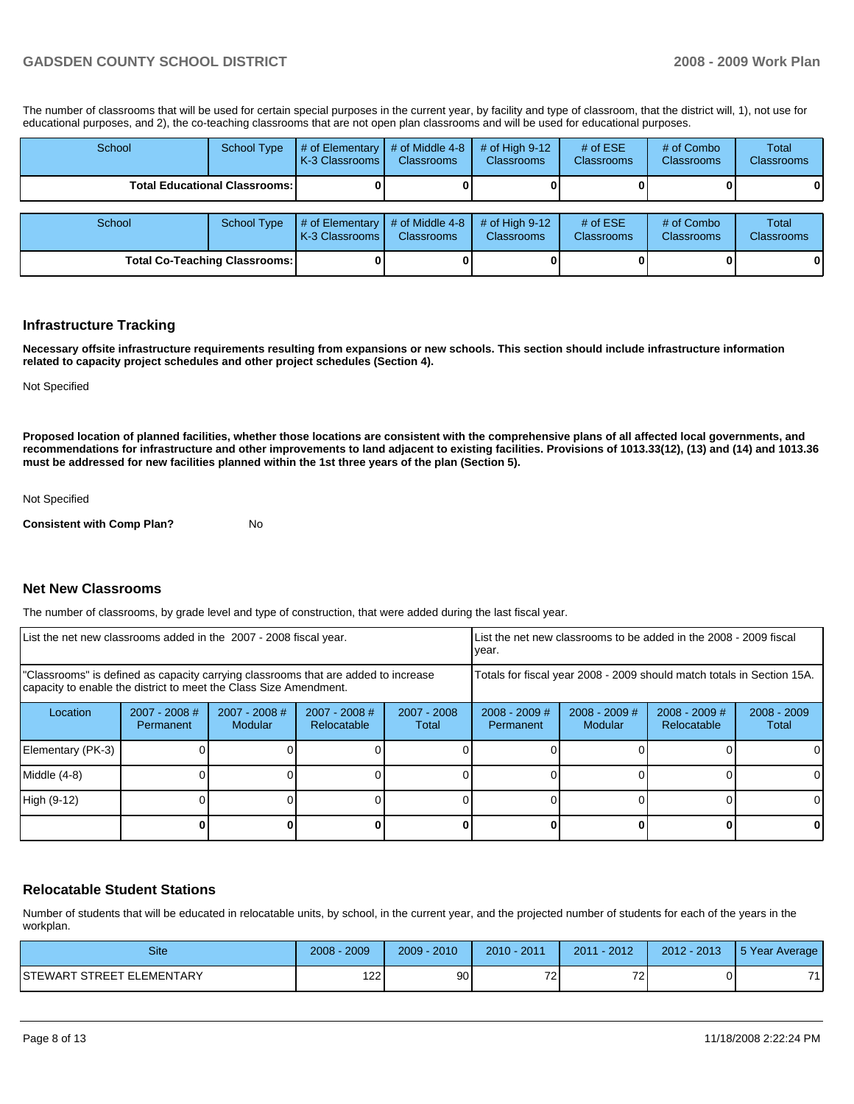The number of classrooms that will be used for certain special purposes in the current year, by facility and type of classroom, that the district will, 1), not use for educational purposes, and 2), the co-teaching classrooms that are not open plan classrooms and will be used for educational purposes.

| School                               | <b>School Type</b> | # of Elementary<br>K-3 Classrooms | # of Middle 4-8<br><b>Classrooms</b> | $#$ of High 9-12<br><b>Classrooms</b> | # of $ESE$<br><b>Classrooms</b> | # of Combo<br><b>Classrooms</b> | <b>Total</b><br><b>Classrooms</b> |
|--------------------------------------|--------------------|-----------------------------------|--------------------------------------|---------------------------------------|---------------------------------|---------------------------------|-----------------------------------|
| <b>Total Educational Classrooms:</b> |                    |                                   |                                      |                                       |                                 |                                 |                                   |
|                                      |                    |                                   |                                      |                                       |                                 |                                 |                                   |
| School                               | <b>School Type</b> | # of Elementary<br>K-3 Classrooms | # of Middle 4-8<br><b>Classrooms</b> | $#$ of High 9-12<br>Classrooms        | # of $ESE$<br><b>Classrooms</b> | # of Combo<br><b>Classrooms</b> | Total<br><b>Classrooms</b>        |
| <b>Total Co-Teaching Classrooms:</b> |                    |                                   |                                      | 0                                     |                                 | 01                              | 0                                 |

#### **Infrastructure Tracking**

**Necessary offsite infrastructure requirements resulting from expansions or new schools. This section should include infrastructure information related to capacity project schedules and other project schedules (Section 4).** 

Not Specified

**Proposed location of planned facilities, whether those locations are consistent with the comprehensive plans of all affected local governments, and recommendations for infrastructure and other improvements to land adjacent to existing facilities. Provisions of 1013.33(12), (13) and (14) and 1013.36 must be addressed for new facilities planned within the 1st three years of the plan (Section 5).** 

Not Specified

**Consistent with Comp Plan?** No

#### **Net New Classrooms**

The number of classrooms, by grade level and type of construction, that were added during the last fiscal year.

| List the net new classrooms added in the 2007 - 2008 fiscal year.                                                                                       | List the net new classrooms to be added in the 2008 - 2009 fiscal<br>year. |                                 |                                |                      |                                                                        |                            |                                |                        |
|---------------------------------------------------------------------------------------------------------------------------------------------------------|----------------------------------------------------------------------------|---------------------------------|--------------------------------|----------------------|------------------------------------------------------------------------|----------------------------|--------------------------------|------------------------|
| "Classrooms" is defined as capacity carrying classrooms that are added to increase<br>capacity to enable the district to meet the Class Size Amendment. |                                                                            |                                 |                                |                      | Totals for fiscal year 2008 - 2009 should match totals in Section 15A. |                            |                                |                        |
| Location                                                                                                                                                | $2007 - 2008$ #<br><b>Permanent</b>                                        | 2007 - 2008 #<br><b>Modular</b> | $2007 - 2008$ #<br>Relocatable | 2007 - 2008<br>Total | $2008 - 2009$ #<br>Permanent                                           | $2008 - 2009$ #<br>Modular | $2008 - 2009$ #<br>Relocatable | $2008 - 2009$<br>Total |
| Elementary (PK-3)                                                                                                                                       |                                                                            |                                 |                                |                      |                                                                        |                            |                                |                        |
| Middle (4-8)                                                                                                                                            |                                                                            |                                 |                                |                      |                                                                        |                            |                                |                        |
| High (9-12)                                                                                                                                             |                                                                            |                                 |                                |                      |                                                                        |                            |                                |                        |
|                                                                                                                                                         |                                                                            |                                 |                                |                      |                                                                        |                            |                                | O                      |

# **Relocatable Student Stations**

Number of students that will be educated in relocatable units, by school, in the current year, and the projected number of students for each of the years in the workplan.

| <b>Site</b>                | 2009<br>2008 | 2010<br>$2009 -$ | 2011<br>$2010 -$              | $-2012$<br>2011          | 2012 - 2013 | 5 Year Average |
|----------------------------|--------------|------------------|-------------------------------|--------------------------|-------------|----------------|
| ISTEWART STREET ELEMENTARY | 122<br>ے ،   | 90               | $\overline{\phantom{a}}$<br>∼ | $\overline{\phantom{a}}$ |             | 74             |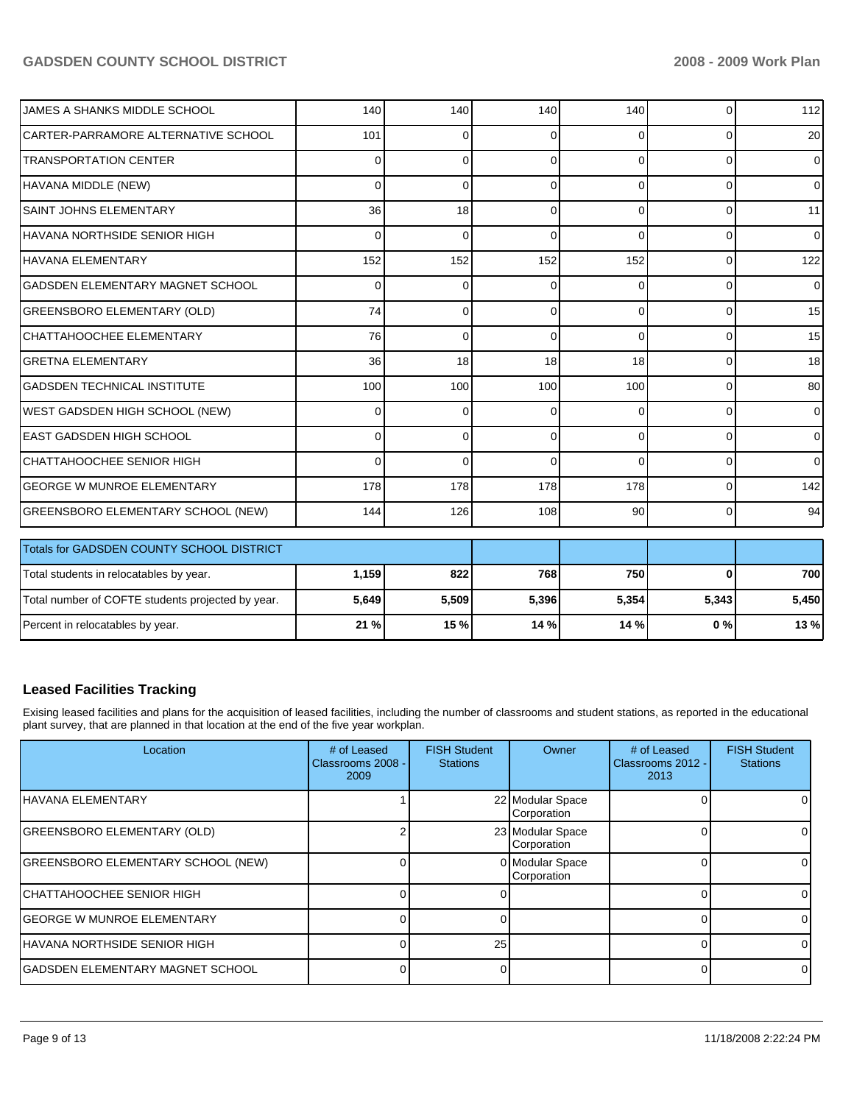| JAMES A SHANKS MIDDLE SCHOOL              | 140             | 140      | 140      | 140      | $\Omega$ | 112             |
|-------------------------------------------|-----------------|----------|----------|----------|----------|-----------------|
| ICARTER-PARRAMORE ALTERNATIVE SCHOOL      | 101             | 0        | 0        | 0        | $\Omega$ | 20 <sup>1</sup> |
| <b>ITRANSPORTATION CENTER</b>             | $\Omega$        | 0        | 0        | $\Omega$ | $\Omega$ | $\Omega$        |
| HAVANA MIDDLE (NEW)                       | 0               | $\Omega$ | 0        | $\Omega$ | $\Omega$ | $\overline{0}$  |
| ISAINT JOHNS ELEMENTARY                   | 36 <sup>1</sup> | 18       | ∩        | 0        | $\Omega$ | 11              |
| IHAVANA NORTHSIDE SENIOR HIGH             | $\overline{0}$  | 0        | 0        | $\Omega$ | $\Omega$ | $\overline{0}$  |
| lhavana elementary                        | 152             | 152      | 152      | 152      | $\Omega$ | 122             |
| IGADSDEN ELEMENTARY MAGNET SCHOOL         | $\Omega$        | 0        | 0        | $\Omega$ | $\Omega$ | $\overline{0}$  |
| GREENSBORO ELEMENTARY (OLD)               | 74              | 0        | $\Omega$ | $\Omega$ | $\Omega$ | 15              |
| CHATTAHOOCHEE ELEMENTARY                  | 76              | 0        | $\Omega$ | $\Omega$ | $\Omega$ | 15              |
| İGRETNA ELEMENTARY                        | 36 <sup>1</sup> | 18       | 18       | 18       | $\Omega$ | 18 <sup>1</sup> |
| IGADSDEN TECHNICAL INSTITUTE              | 100             | 100      | 100      | 100      | $\Omega$ | 80              |
| WEST GADSDEN HIGH SCHOOL (NEW)            | $\Omega$        | 0        | 0        | $\Omega$ | $\Omega$ | $\Omega$        |
| IEAST GADSDEN HIGH SCHOOL                 | $\Omega$        | $\Omega$ | $\Omega$ | $\Omega$ | $\Omega$ | $\Omega$        |
| CHATTAHOOCHEE SENIOR HIGH                 | $\Omega$        | $\Omega$ | 0        | $\Omega$ | $\Omega$ | $\Omega$        |
| IGEORGE W MUNROE ELEMENTARY               | 178             | 178      | 178      | 178      | $\Omega$ | 142             |
| <b>GREENSBORO ELEMENTARY SCHOOL (NEW)</b> | 144             | 126      | 108      | 90       | $\Omega$ | 94              |

| <b>Totals for GADSDEN COUNTY SCHOOL DISTRICT</b>  |         |       |        |       |       |       |
|---------------------------------------------------|---------|-------|--------|-------|-------|-------|
| Total students in relocatables by year.           | 1.159 l | 8221  | 768    | 750   |       | 700   |
| Total number of COFTE students projected by year. | 5,649   | 5,509 | 5,396  | 5.354 | 5,343 | 5.450 |
| Percent in relocatables by year.                  | 21%     | 15 %  | 14 % I | 14%   | 0%    | 13 %  |

# **Leased Facilities Tracking**

Exising leased facilities and plans for the acquisition of leased facilities, including the number of classrooms and student stations, as reported in the educational plant survey, that are planned in that location at the end of the five year workplan.

| Location                                  | # of Leased<br>Classrooms 2008 -<br>2009 | <b>FISH Student</b><br><b>Stations</b> | Owner                           | # of Leased<br>Classrooms 2012 -<br>2013 | <b>FISH Student</b><br><b>Stations</b> |
|-------------------------------------------|------------------------------------------|----------------------------------------|---------------------------------|------------------------------------------|----------------------------------------|
| <b>IHAVANA ELEMENTARY</b>                 |                                          |                                        | 22 Modular Space<br>Corporation |                                          |                                        |
| GREENSBORO ELEMENTARY (OLD)               |                                          |                                        | 23 Modular Space<br>Corporation |                                          |                                        |
| <b>GREENSBORO ELEMENTARY SCHOOL (NEW)</b> |                                          |                                        | 0 Modular Space<br>Corporation  |                                          |                                        |
| ICHATTAHOOCHEE SENIOR HIGH                |                                          |                                        |                                 |                                          |                                        |
| <b>IGEORGE W MUNROE ELEMENTARY</b>        |                                          |                                        |                                 |                                          |                                        |
| IHAVANA NORTHSIDE SENIOR HIGH             |                                          | 25                                     |                                 |                                          |                                        |
| IGADSDEN ELEMENTARY MAGNET SCHOOL         |                                          |                                        |                                 |                                          |                                        |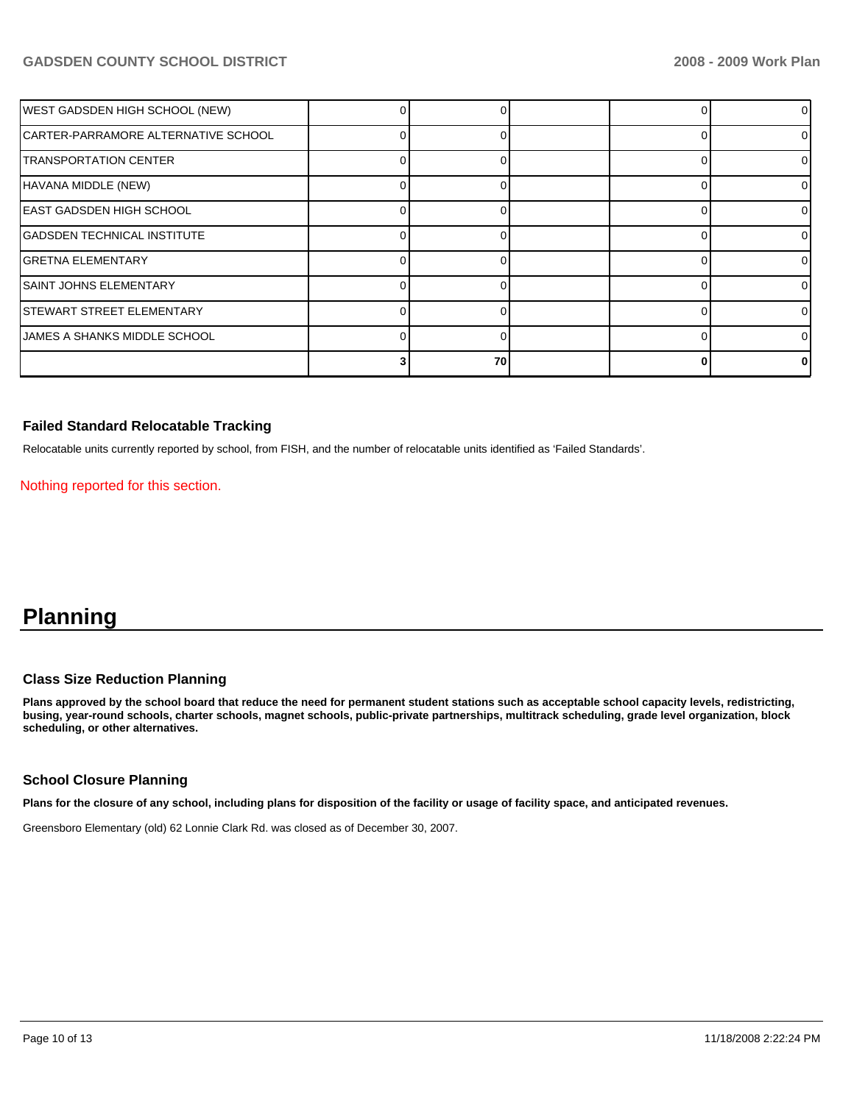| WEST GADSDEN HIGH SCHOOL (NEW)      |    |    |  | ΩI |
|-------------------------------------|----|----|--|----|
| CARTER-PARRAMORE ALTERNATIVE SCHOOL |    |    |  |    |
| <b>TRANSPORTATION CENTER</b>        |    |    |  | ΩI |
| HAVANA MIDDLE (NEW)                 |    |    |  |    |
| EAST GADSDEN HIGH SCHOOL            |    |    |  | ΩI |
| <b>GADSDEN TECHNICAL INSTITUTE</b>  | ∩  |    |  | 0  |
| <b>GRETNA ELEMENTARY</b>            |    |    |  |    |
| <b>SAINT JOHNS ELEMENTARY</b>       |    |    |  | ΩI |
| <b>STEWART STREET ELEMENTARY</b>    |    |    |  | 0  |
| JAMES A SHANKS MIDDLE SCHOOL        | O. | 0  |  |    |
|                                     |    | 70 |  |    |

# **Failed Standard Relocatable Tracking**

Relocatable units currently reported by school, from FISH, and the number of relocatable units identified as 'Failed Standards'.

Nothing reported for this section.

# **Planning**

# **Class Size Reduction Planning**

**Plans approved by the school board that reduce the need for permanent student stations such as acceptable school capacity levels, redistricting, busing, year-round schools, charter schools, magnet schools, public-private partnerships, multitrack scheduling, grade level organization, block scheduling, or other alternatives.** 

# **School Closure Planning**

**Plans for the closure of any school, including plans for disposition of the facility or usage of facility space, and anticipated revenues.** 

Greensboro Elementary (old) 62 Lonnie Clark Rd. was closed as of December 30, 2007.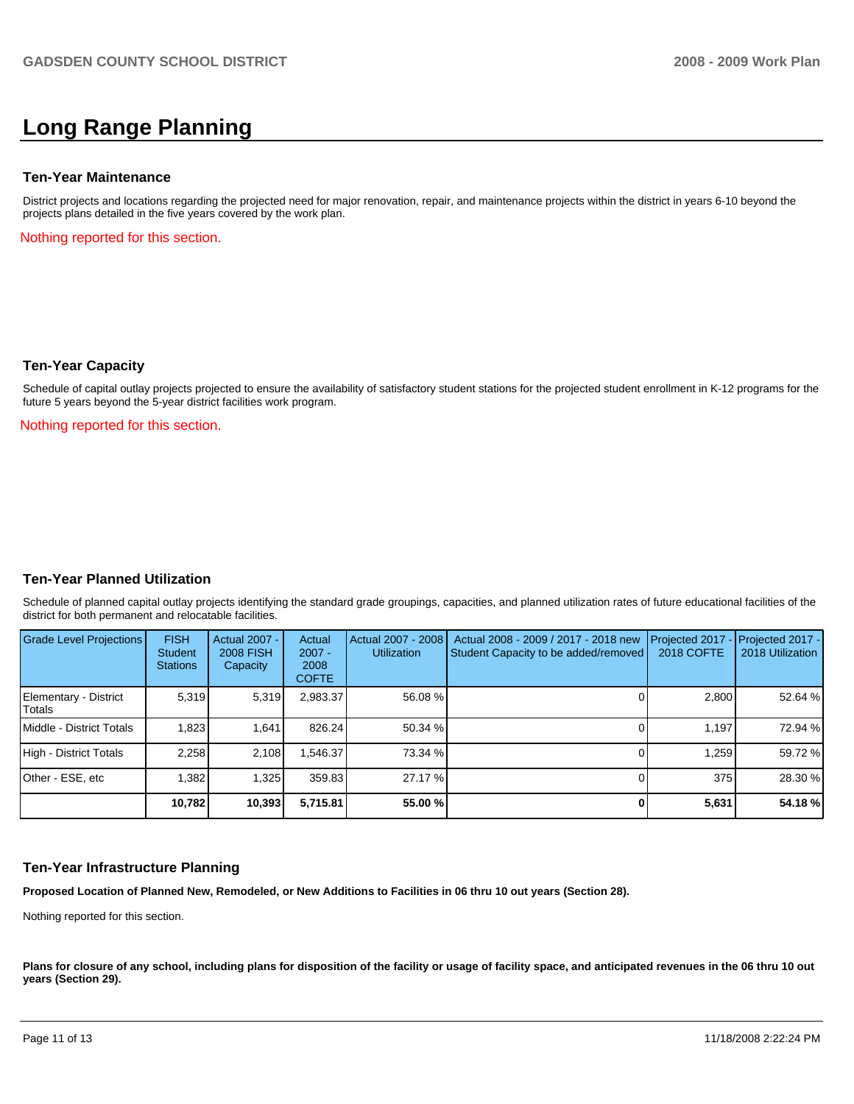# **Long Range Planning**

#### **Ten-Year Maintenance**

District projects and locations regarding the projected need for major renovation, repair, and maintenance projects within the district in years 6-10 beyond the projects plans detailed in the five years covered by the work plan.

Nothing reported for this section.

#### **Ten-Year Capacity**

Schedule of capital outlay projects projected to ensure the availability of satisfactory student stations for the projected student enrollment in K-12 programs for the future 5 years beyond the 5-year district facilities work program.

Nothing reported for this section.

# **Ten-Year Planned Utilization**

Schedule of planned capital outlay projects identifying the standard grade groupings, capacities, and planned utilization rates of future educational facilities of the district for both permanent and relocatable facilities.

| Grade Level Projections         | <b>FISH</b><br><b>Student</b><br><b>Stations</b> | <b>Actual 2007 -</b><br><b>2008 FISH</b><br>Capacity | Actual<br>$2007 -$<br>2008<br><b>COFTE</b> | Actual 2007 - 2008<br><b>Utilization</b> | Actual 2008 - 2009 / 2017 - 2018 new<br>Student Capacity to be added/removed | Projected 2017<br>2018 COFTE | Projected 2017 -<br>2018 Utilization |
|---------------------------------|--------------------------------------------------|------------------------------------------------------|--------------------------------------------|------------------------------------------|------------------------------------------------------------------------------|------------------------------|--------------------------------------|
| Elementary - District<br>Totals | 5.319                                            | 5,319                                                | 2,983.37                                   | 56.08 %                                  |                                                                              | 2,800                        | 52.64 %                              |
| Middle - District Totals        | 1.823                                            | 1.641                                                | 826.24                                     | 50.34 %                                  |                                                                              | 1.197                        | 72.94 %                              |
| High - District Totals          | 2.258                                            | 2.108                                                | .546.37                                    | 73.34 %                                  |                                                                              | 1,259                        | 59.72 %                              |
| Other - ESE, etc                | 1,382                                            | 1,325                                                | 359.83                                     | 27.17 %                                  |                                                                              | 375                          | 28.30 %                              |
|                                 | 10.782                                           | 10,393                                               | 5.715.81                                   | 55.00 %                                  |                                                                              | 5,631                        | 54.18%                               |

# **Ten-Year Infrastructure Planning**

**Proposed Location of Planned New, Remodeled, or New Additions to Facilities in 06 thru 10 out years (Section 28).** 

Nothing reported for this section.

Plans for closure of any school, including plans for disposition of the facility or usage of facility space, and anticipated revenues in the 06 thru 10 out **years (Section 29).**